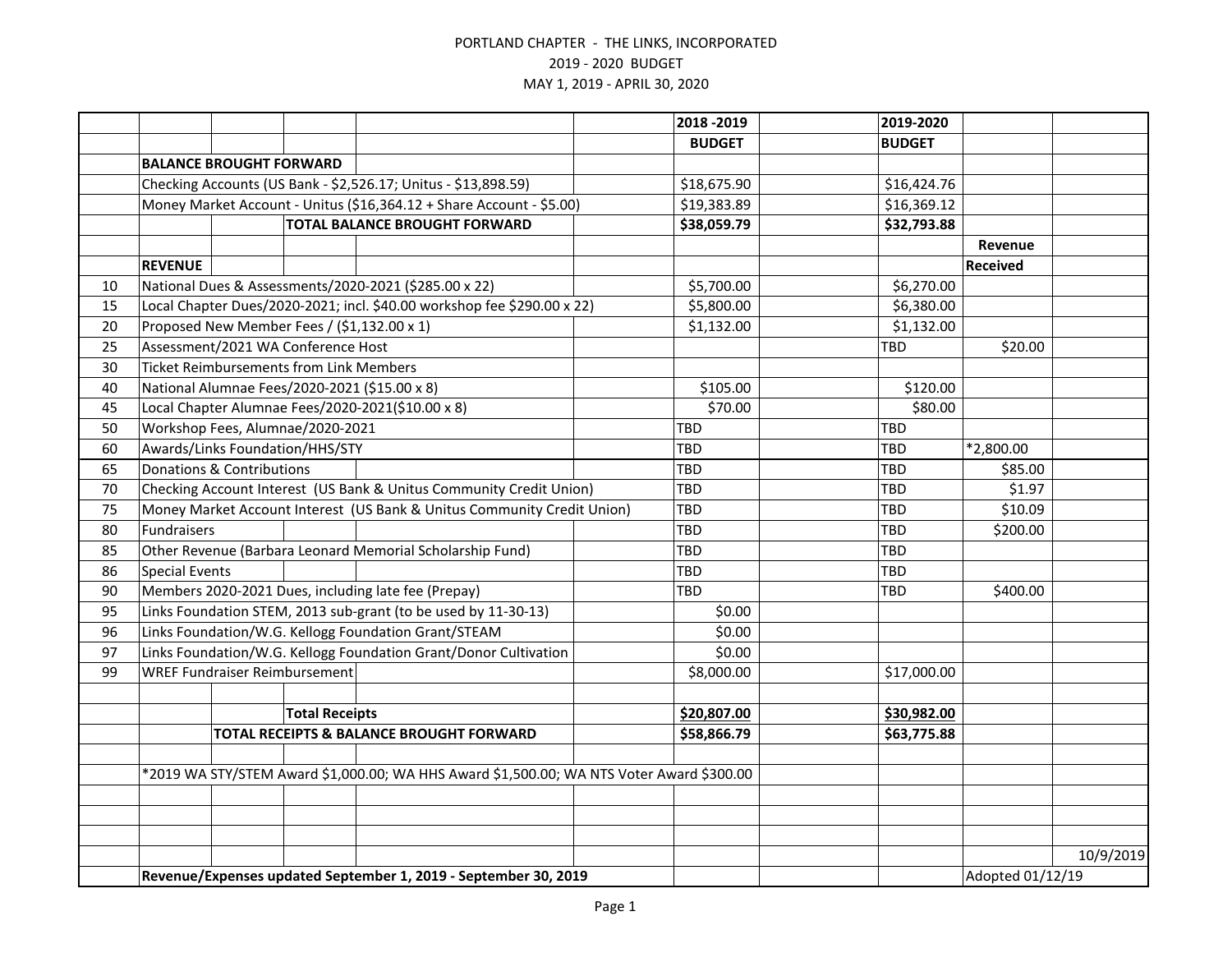|    |                                                                                          |                                |                                                |                                                                         |             | 2018 - 2019   | 2019-2020     |                  |           |
|----|------------------------------------------------------------------------------------------|--------------------------------|------------------------------------------------|-------------------------------------------------------------------------|-------------|---------------|---------------|------------------|-----------|
|    |                                                                                          |                                |                                                |                                                                         |             | <b>BUDGET</b> | <b>BUDGET</b> |                  |           |
|    |                                                                                          | <b>BALANCE BROUGHT FORWARD</b> |                                                |                                                                         |             |               |               |                  |           |
|    | Checking Accounts (US Bank - \$2,526.17; Unitus - \$13,898.59)                           |                                |                                                |                                                                         |             | \$18,675.90   | \$16,424.76   |                  |           |
|    | Money Market Account - Unitus (\$16,364.12 + Share Account - \$5.00)                     |                                |                                                |                                                                         |             | \$19,383.89   | \$16,369.12   |                  |           |
|    | <b>TOTAL BALANCE BROUGHT FORWARD</b>                                                     |                                |                                                |                                                                         | \$38,059.79 | \$32,793.88   |               |                  |           |
|    |                                                                                          |                                |                                                |                                                                         |             |               |               | Revenue          |           |
|    | <b>REVENUE</b>                                                                           |                                |                                                |                                                                         |             |               |               | <b>Received</b>  |           |
| 10 |                                                                                          |                                |                                                | National Dues & Assessments/2020-2021 (\$285.00 x 22)                   |             | \$5,700.00    | \$6,270.00    |                  |           |
| 15 |                                                                                          |                                |                                                | Local Chapter Dues/2020-2021; incl. \$40.00 workshop fee \$290.00 x 22) |             | \$5,800.00    | \$6,380.00    |                  |           |
| 20 | Proposed New Member Fees / (\$1,132.00 x 1)                                              |                                |                                                |                                                                         |             | \$1,132.00    | \$1,132.00    |                  |           |
| 25 |                                                                                          |                                | Assessment/2021 WA Conference Host             |                                                                         |             |               | TBD           | \$20.00          |           |
| 30 |                                                                                          |                                | <b>Ticket Reimbursements from Link Members</b> |                                                                         |             |               |               |                  |           |
| 40 |                                                                                          |                                |                                                | National Alumnae Fees/2020-2021 (\$15.00 x 8)                           |             | \$105.00      | \$120.00      |                  |           |
| 45 |                                                                                          |                                |                                                | Local Chapter Alumnae Fees/2020-2021(\$10.00 x 8)                       |             | \$70.00       | \$80.00       |                  |           |
| 50 |                                                                                          |                                | Workshop Fees, Alumnae/2020-2021               |                                                                         |             | TBD           | <b>TBD</b>    |                  |           |
| 60 |                                                                                          |                                | Awards/Links Foundation/HHS/STY                |                                                                         |             | TBD           | <b>TBD</b>    | *2,800.00        |           |
| 65 | <b>Donations &amp; Contributions</b>                                                     |                                |                                                |                                                                         |             | TBD           | <b>TBD</b>    | \$85.00          |           |
| 70 | Checking Account Interest (US Bank & Unitus Community Credit Union)                      |                                |                                                |                                                                         |             | TBD           | TBD           | \$1.97           |           |
| 75 |                                                                                          |                                |                                                | Money Market Account Interest (US Bank & Unitus Community Credit Union) |             | TBD           | <b>TBD</b>    | \$10.09          |           |
| 80 | Fundraisers                                                                              |                                |                                                |                                                                         |             | TBD           | <b>TBD</b>    | \$200.00         |           |
| 85 |                                                                                          |                                |                                                | Other Revenue (Barbara Leonard Memorial Scholarship Fund)               |             | TBD           | <b>TBD</b>    |                  |           |
| 86 | <b>Special Events</b>                                                                    |                                |                                                |                                                                         |             | TBD           | <b>TBD</b>    |                  |           |
| 90 | Members 2020-2021 Dues, including late fee (Prepay)                                      |                                |                                                |                                                                         |             | TBD           | TBD           | \$400.00         |           |
| 95 |                                                                                          |                                |                                                | Links Foundation STEM, 2013 sub-grant (to be used by 11-30-13)          |             | \$0.00        |               |                  |           |
| 96 | Links Foundation/W.G. Kellogg Foundation Grant/STEAM                                     |                                |                                                |                                                                         |             | \$0.00        |               |                  |           |
| 97 |                                                                                          |                                |                                                | Links Foundation/W.G. Kellogg Foundation Grant/Donor Cultivation        |             | \$0.00        |               |                  |           |
| 99 |                                                                                          |                                | <b>WREF Fundraiser Reimbursement</b>           |                                                                         |             | \$8,000.00    | \$17,000.00   |                  |           |
|    |                                                                                          |                                |                                                |                                                                         |             |               |               |                  |           |
|    |                                                                                          |                                | <b>Total Receipts</b>                          |                                                                         |             | \$20,807.00   | \$30,982.00   |                  |           |
|    |                                                                                          |                                |                                                | TOTAL RECEIPTS & BALANCE BROUGHT FORWARD                                |             | \$58,866.79   | \$63,775.88   |                  |           |
|    |                                                                                          |                                |                                                |                                                                         |             |               |               |                  |           |
|    | *2019 WA STY/STEM Award \$1,000.00; WA HHS Award \$1,500.00; WA NTS Voter Award \$300.00 |                                |                                                |                                                                         |             |               |               |                  |           |
|    |                                                                                          |                                |                                                |                                                                         |             |               |               |                  |           |
|    |                                                                                          |                                |                                                |                                                                         |             |               |               |                  |           |
|    |                                                                                          |                                |                                                |                                                                         |             |               |               |                  |           |
|    |                                                                                          |                                |                                                |                                                                         |             |               |               |                  | 10/9/2019 |
|    | Revenue/Expenses updated September 1, 2019 - September 30, 2019                          |                                |                                                |                                                                         |             |               |               | Adopted 01/12/19 |           |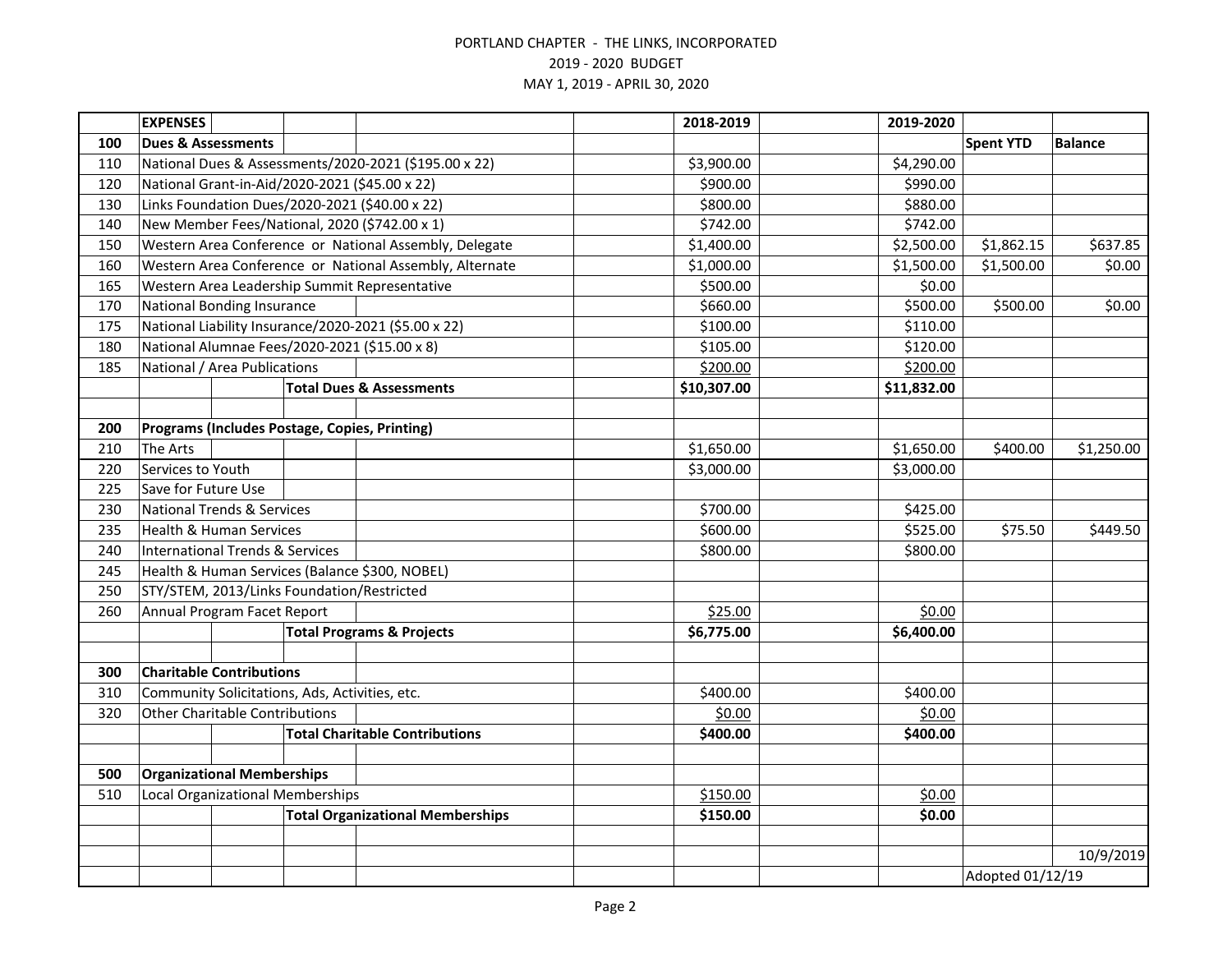|     | <b>EXPENSES</b>                            |  |                                                |                                                         | 2018-2019   | 2019-2020   |                  |                |  |
|-----|--------------------------------------------|--|------------------------------------------------|---------------------------------------------------------|-------------|-------------|------------------|----------------|--|
| 100 | <b>Dues &amp; Assessments</b>              |  |                                                |                                                         |             |             | <b>Spent YTD</b> | <b>Balance</b> |  |
| 110 |                                            |  |                                                | National Dues & Assessments/2020-2021 (\$195.00 x 22)   | \$3,900.00  | \$4,290.00  |                  |                |  |
| 120 |                                            |  |                                                | National Grant-in-Aid/2020-2021 (\$45.00 x 22)          | \$900.00    | \$990.00    |                  |                |  |
| 130 |                                            |  |                                                | Links Foundation Dues/2020-2021 (\$40.00 x 22)          | \$800.00    | \$880.00    |                  |                |  |
| 140 |                                            |  |                                                | New Member Fees/National, 2020 (\$742.00 x 1)           | \$742.00    | \$742.00    |                  |                |  |
| 150 |                                            |  |                                                | Western Area Conference or National Assembly, Delegate  | \$1,400.00  | \$2,500.00  | \$1,862.15       | \$637.85       |  |
| 160 |                                            |  |                                                | Western Area Conference or National Assembly, Alternate | \$1,000.00  | \$1,500.00  | \$1,500.00       | \$0.00         |  |
| 165 |                                            |  |                                                | Western Area Leadership Summit Representative           | \$500.00    | \$0.00      |                  |                |  |
| 170 | <b>National Bonding Insurance</b>          |  |                                                |                                                         | \$660.00    | \$500.00    | \$500.00         | \$0.00         |  |
| 175 |                                            |  |                                                | National Liability Insurance/2020-2021 (\$5.00 x 22)    | \$100.00    | \$110.00    |                  |                |  |
| 180 |                                            |  |                                                | National Alumnae Fees/2020-2021 (\$15.00 x 8)           | \$105.00    | \$120.00    |                  |                |  |
| 185 | National / Area Publications               |  |                                                |                                                         | \$200.00    | \$200.00    |                  |                |  |
|     |                                            |  |                                                | <b>Total Dues &amp; Assessments</b>                     | \$10,307.00 | \$11,832.00 |                  |                |  |
|     |                                            |  |                                                |                                                         |             |             |                  |                |  |
| 200 |                                            |  |                                                | Programs (Includes Postage, Copies, Printing)           |             |             |                  |                |  |
| 210 | <b>The Arts</b>                            |  |                                                |                                                         | \$1,650.00  | \$1,650.00  | \$400.00         | \$1,250.00     |  |
| 220 | Services to Youth                          |  |                                                |                                                         | \$3,000.00  | \$3,000.00  |                  |                |  |
| 225 | Save for Future Use                        |  |                                                |                                                         |             |             |                  |                |  |
| 230 | <b>National Trends &amp; Services</b>      |  |                                                |                                                         | \$700.00    | \$425.00    |                  |                |  |
| 235 | <b>Health &amp; Human Services</b>         |  |                                                |                                                         | \$600.00    | \$525.00    | \$75.50          | \$449.50       |  |
| 240 | <b>International Trends &amp; Services</b> |  |                                                |                                                         | \$800.00    | \$800.00    |                  |                |  |
| 245 |                                            |  |                                                | Health & Human Services (Balance \$300, NOBEL)          |             |             |                  |                |  |
| 250 | STY/STEM, 2013/Links Foundation/Restricted |  |                                                |                                                         |             |             |                  |                |  |
| 260 | Annual Program Facet Report                |  |                                                |                                                         | \$25.00     | \$0.00      |                  |                |  |
|     |                                            |  |                                                | <b>Total Programs &amp; Projects</b>                    | \$6,775.00  | \$6,400.00  |                  |                |  |
|     |                                            |  |                                                |                                                         |             |             |                  |                |  |
| 300 | <b>Charitable Contributions</b>            |  |                                                |                                                         |             |             |                  |                |  |
| 310 |                                            |  | Community Solicitations, Ads, Activities, etc. |                                                         | \$400.00    | \$400.00    |                  |                |  |
| 320 | <b>Other Charitable Contributions</b>      |  |                                                |                                                         | \$0.00      | \$0.00      |                  |                |  |
|     |                                            |  |                                                | <b>Total Charitable Contributions</b>                   | \$400.00    | \$400.00    |                  |                |  |
|     |                                            |  |                                                |                                                         |             |             |                  |                |  |
| 500 | <b>Organizational Memberships</b>          |  |                                                |                                                         |             |             |                  |                |  |
| 510 | <b>Local Organizational Memberships</b>    |  |                                                |                                                         | \$150.00    | \$0.00      |                  |                |  |
|     |                                            |  |                                                | <b>Total Organizational Memberships</b>                 | \$150.00    | \$0.00      |                  |                |  |
|     |                                            |  |                                                |                                                         |             |             |                  |                |  |
|     |                                            |  |                                                |                                                         |             |             |                  | 10/9/2019      |  |
|     |                                            |  |                                                |                                                         |             |             | Adopted 01/12/19 |                |  |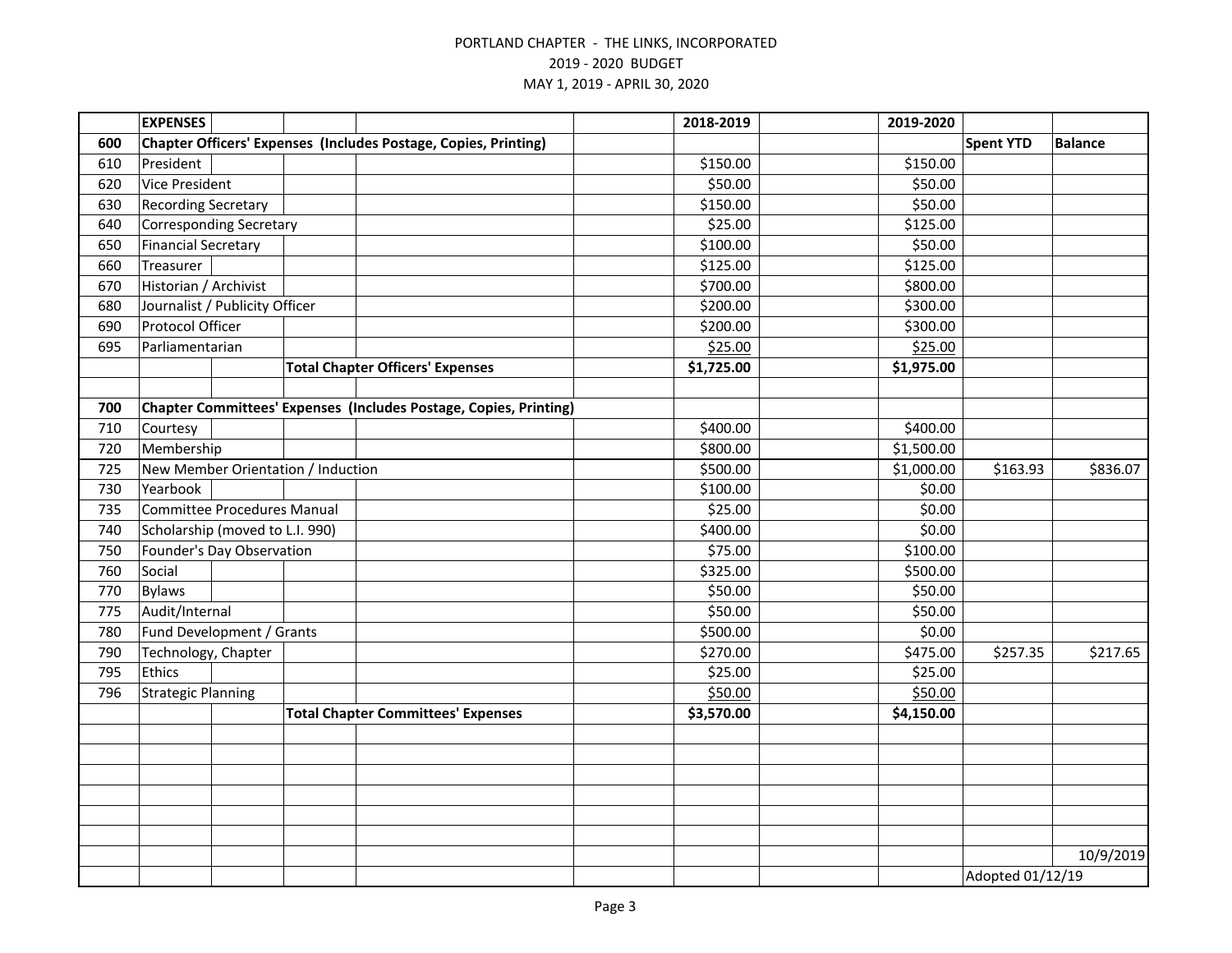|     | <b>EXPENSES</b>                    |                                |  |                                                                        | 2018-2019  | 2019-2020  |                  |                |  |
|-----|------------------------------------|--------------------------------|--|------------------------------------------------------------------------|------------|------------|------------------|----------------|--|
| 600 |                                    |                                |  | <b>Chapter Officers' Expenses (Includes Postage, Copies, Printing)</b> |            |            | <b>Spent YTD</b> | <b>Balance</b> |  |
| 610 | President                          |                                |  |                                                                        | \$150.00   | \$150.00   |                  |                |  |
| 620 | <b>Vice President</b>              |                                |  |                                                                        | \$50.00    | \$50.00    |                  |                |  |
| 630 | <b>Recording Secretary</b>         |                                |  |                                                                        | \$150.00   | \$50.00    |                  |                |  |
| 640 |                                    | <b>Corresponding Secretary</b> |  |                                                                        | \$25.00    | \$125.00   |                  |                |  |
| 650 | <b>Financial Secretary</b>         |                                |  |                                                                        | \$100.00   | \$50.00    |                  |                |  |
| 660 | Treasurer                          |                                |  |                                                                        | \$125.00   | \$125.00   |                  |                |  |
| 670 | Historian / Archivist              |                                |  |                                                                        | \$700.00   | \$800.00   |                  |                |  |
| 680 |                                    | Journalist / Publicity Officer |  |                                                                        | \$200.00   | \$300.00   |                  |                |  |
| 690 | Protocol Officer                   |                                |  |                                                                        | \$200.00   | \$300.00   |                  |                |  |
| 695 | Parliamentarian                    |                                |  |                                                                        | \$25.00    | \$25.00    |                  |                |  |
|     |                                    |                                |  | <b>Total Chapter Officers' Expenses</b>                                | \$1,725.00 | \$1,975.00 |                  |                |  |
|     |                                    |                                |  |                                                                        |            |            |                  |                |  |
| 700 |                                    |                                |  | Chapter Committees' Expenses (Includes Postage, Copies, Printing)      |            |            |                  |                |  |
| 710 | Courtesy                           |                                |  |                                                                        | \$400.00   | \$400.00   |                  |                |  |
| 720 | Membership                         |                                |  |                                                                        | \$800.00   | \$1,500.00 |                  |                |  |
| 725 | New Member Orientation / Induction |                                |  |                                                                        | \$500.00   | \$1,000.00 | \$163.93         | \$836.07       |  |
| 730 | Yearbook                           |                                |  |                                                                        | \$100.00   | \$0.00     |                  |                |  |
| 735 | <b>Committee Procedures Manual</b> |                                |  |                                                                        | \$25.00    | \$0.00     |                  |                |  |
| 740 | Scholarship (moved to L.I. 990)    |                                |  |                                                                        | \$400.00   | \$0.00     |                  |                |  |
| 750 | Founder's Day Observation          |                                |  |                                                                        | \$75.00    | \$100.00   |                  |                |  |
| 760 | Social                             |                                |  |                                                                        | \$325.00   | \$500.00   |                  |                |  |
| 770 | <b>Bylaws</b>                      |                                |  |                                                                        | \$50.00    | \$50.00    |                  |                |  |
| 775 | Audit/Internal                     |                                |  |                                                                        | \$50.00    | \$50.00    |                  |                |  |
| 780 |                                    | Fund Development / Grants      |  |                                                                        | \$500.00   | \$0.00     |                  |                |  |
| 790 | Technology, Chapter                |                                |  |                                                                        | \$270.00   | \$475.00   | \$257.35         | \$217.65       |  |
| 795 | Ethics                             |                                |  |                                                                        | \$25.00    | \$25.00    |                  |                |  |
| 796 | <b>Strategic Planning</b>          |                                |  |                                                                        | \$50.00    | \$50.00    |                  |                |  |
|     |                                    |                                |  | <b>Total Chapter Committees' Expenses</b>                              | \$3,570.00 | \$4,150.00 |                  |                |  |
|     |                                    |                                |  |                                                                        |            |            |                  |                |  |
|     |                                    |                                |  |                                                                        |            |            |                  |                |  |
|     |                                    |                                |  |                                                                        |            |            |                  |                |  |
|     |                                    |                                |  |                                                                        |            |            |                  |                |  |
|     |                                    |                                |  |                                                                        |            |            |                  |                |  |
|     |                                    |                                |  |                                                                        |            |            |                  |                |  |
|     |                                    |                                |  |                                                                        |            |            |                  | 10/9/2019      |  |
|     |                                    |                                |  |                                                                        |            |            | Adopted 01/12/19 |                |  |